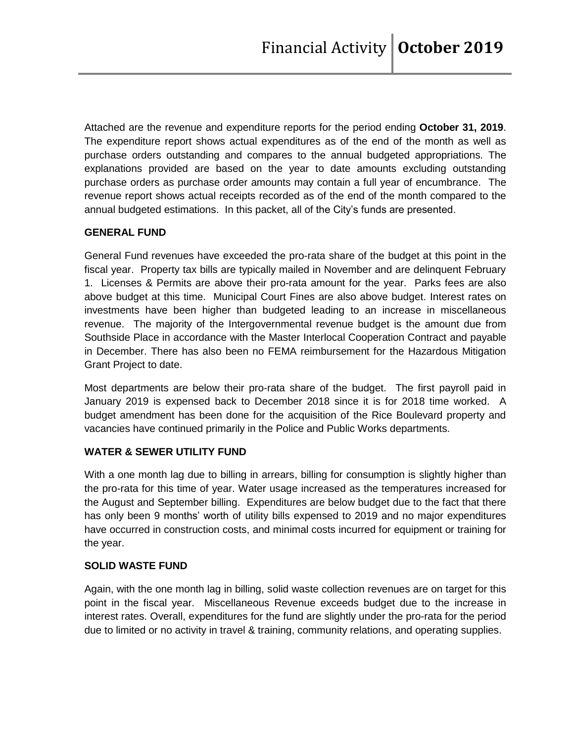Attached are the revenue and expenditure reports for the period ending **October 31, 2019**. The expenditure report shows actual expenditures as of the end of the month as well as purchase orders outstanding and compares to the annual budgeted appropriations. The explanations provided are based on the year to date amounts excluding outstanding purchase orders as purchase order amounts may contain a full year of encumbrance. The revenue report shows actual receipts recorded as of the end of the month compared to the annual budgeted estimations. In this packet, all of the City's funds are presented.

## **GENERAL FUND**

General Fund revenues have exceeded the pro-rata share of the budget at this point in the fiscal year. Property tax bills are typically mailed in November and are delinquent February 1. Licenses & Permits are above their pro-rata amount for the year. Parks fees are also above budget at this time. Municipal Court Fines are also above budget. Interest rates on investments have been higher than budgeted leading to an increase in miscellaneous revenue. The majority of the Intergovernmental revenue budget is the amount due from Southside Place in accordance with the Master Interlocal Cooperation Contract and payable in December. There has also been no FEMA reimbursement for the Hazardous Mitigation Grant Project to date.

Most departments are below their pro-rata share of the budget. The first payroll paid in January 2019 is expensed back to December 2018 since it is for 2018 time worked. A budget amendment has been done for the acquisition of the Rice Boulevard property and vacancies have continued primarily in the Police and Public Works departments.

#### **WATER & SEWER UTILITY FUND**

With a one month lag due to billing in arrears, billing for consumption is slightly higher than the pro-rata for this time of year. Water usage increased as the temperatures increased for the August and September billing. Expenditures are below budget due to the fact that there has only been 9 months' worth of utility bills expensed to 2019 and no major expenditures have occurred in construction costs, and minimal costs incurred for equipment or training for the year.

#### **SOLID WASTE FUND**

Again, with the one month lag in billing, solid waste collection revenues are on target for this point in the fiscal year. Miscellaneous Revenue exceeds budget due to the increase in interest rates. Overall, expenditures for the fund are slightly under the pro-rata for the period due to limited or no activity in travel & training, community relations, and operating supplies.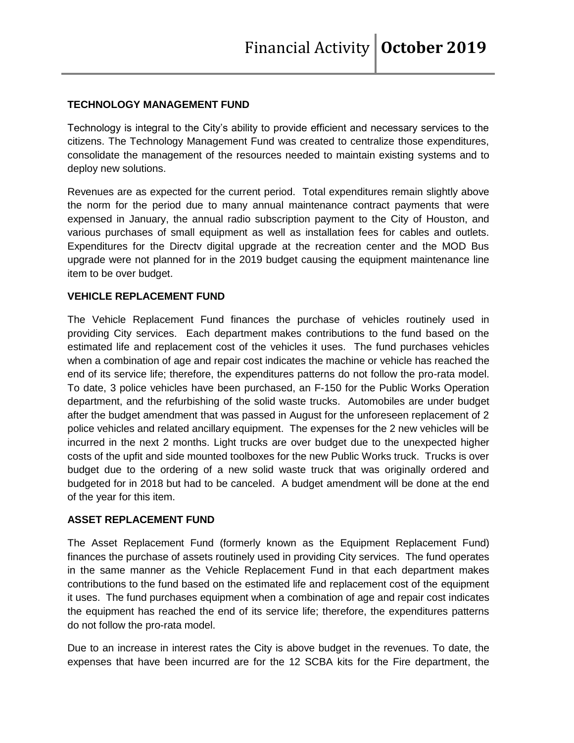## **TECHNOLOGY MANAGEMENT FUND**

Technology is integral to the City's ability to provide efficient and necessary services to the citizens. The Technology Management Fund was created to centralize those expenditures, consolidate the management of the resources needed to maintain existing systems and to deploy new solutions.

Revenues are as expected for the current period. Total expenditures remain slightly above the norm for the period due to many annual maintenance contract payments that were expensed in January, the annual radio subscription payment to the City of Houston, and various purchases of small equipment as well as installation fees for cables and outlets. Expenditures for the Directv digital upgrade at the recreation center and the MOD Bus upgrade were not planned for in the 2019 budget causing the equipment maintenance line item to be over budget.

#### **VEHICLE REPLACEMENT FUND**

The Vehicle Replacement Fund finances the purchase of vehicles routinely used in providing City services. Each department makes contributions to the fund based on the estimated life and replacement cost of the vehicles it uses. The fund purchases vehicles when a combination of age and repair cost indicates the machine or vehicle has reached the end of its service life; therefore, the expenditures patterns do not follow the pro-rata model. To date, 3 police vehicles have been purchased, an F-150 for the Public Works Operation department, and the refurbishing of the solid waste trucks. Automobiles are under budget after the budget amendment that was passed in August for the unforeseen replacement of 2 police vehicles and related ancillary equipment. The expenses for the 2 new vehicles will be incurred in the next 2 months. Light trucks are over budget due to the unexpected higher costs of the upfit and side mounted toolboxes for the new Public Works truck. Trucks is over budget due to the ordering of a new solid waste truck that was originally ordered and budgeted for in 2018 but had to be canceled. A budget amendment will be done at the end of the year for this item.

## **ASSET REPLACEMENT FUND**

The Asset Replacement Fund (formerly known as the Equipment Replacement Fund) finances the purchase of assets routinely used in providing City services. The fund operates in the same manner as the Vehicle Replacement Fund in that each department makes contributions to the fund based on the estimated life and replacement cost of the equipment it uses. The fund purchases equipment when a combination of age and repair cost indicates the equipment has reached the end of its service life; therefore, the expenditures patterns do not follow the pro-rata model.

Due to an increase in interest rates the City is above budget in the revenues. To date, the expenses that have been incurred are for the 12 SCBA kits for the Fire department, the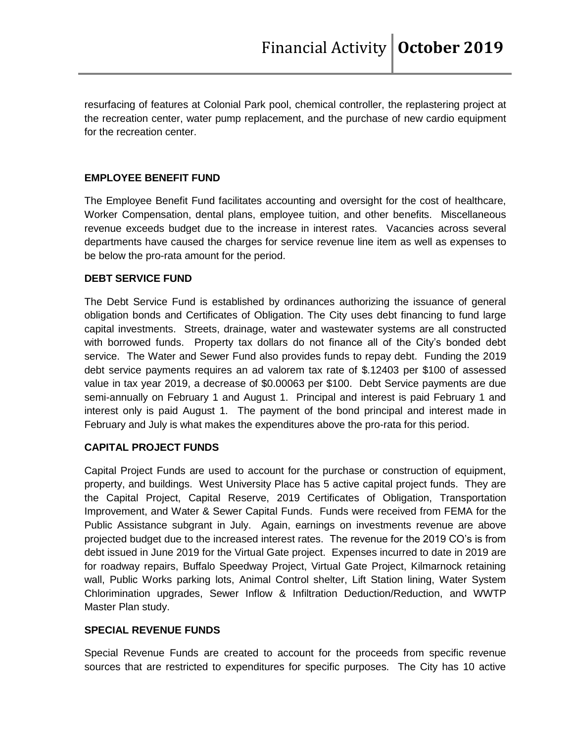resurfacing of features at Colonial Park pool, chemical controller, the replastering project at the recreation center, water pump replacement, and the purchase of new cardio equipment for the recreation center.

## **EMPLOYEE BENEFIT FUND**

The Employee Benefit Fund facilitates accounting and oversight for the cost of healthcare, Worker Compensation, dental plans, employee tuition, and other benefits. Miscellaneous revenue exceeds budget due to the increase in interest rates. Vacancies across several departments have caused the charges for service revenue line item as well as expenses to be below the pro-rata amount for the period.

## **DEBT SERVICE FUND**

The Debt Service Fund is established by ordinances authorizing the issuance of general obligation bonds and Certificates of Obligation. The City uses debt financing to fund large capital investments. Streets, drainage, water and wastewater systems are all constructed with borrowed funds. Property tax dollars do not finance all of the City's bonded debt service. The Water and Sewer Fund also provides funds to repay debt. Funding the 2019 debt service payments requires an ad valorem tax rate of \$.12403 per \$100 of assessed value in tax year 2019, a decrease of \$0.00063 per \$100. Debt Service payments are due semi-annually on February 1 and August 1. Principal and interest is paid February 1 and interest only is paid August 1. The payment of the bond principal and interest made in February and July is what makes the expenditures above the pro-rata for this period.

## **CAPITAL PROJECT FUNDS**

Capital Project Funds are used to account for the purchase or construction of equipment, property, and buildings. West University Place has 5 active capital project funds. They are the Capital Project, Capital Reserve, 2019 Certificates of Obligation, Transportation Improvement, and Water & Sewer Capital Funds. Funds were received from FEMA for the Public Assistance subgrant in July. Again, earnings on investments revenue are above projected budget due to the increased interest rates. The revenue for the 2019 CO's is from debt issued in June 2019 for the Virtual Gate project. Expenses incurred to date in 2019 are for roadway repairs, Buffalo Speedway Project, Virtual Gate Project, Kilmarnock retaining wall, Public Works parking lots, Animal Control shelter, Lift Station lining, Water System Chlorimination upgrades, Sewer Inflow & Infiltration Deduction/Reduction, and WWTP Master Plan study.

## **SPECIAL REVENUE FUNDS**

Special Revenue Funds are created to account for the proceeds from specific revenue sources that are restricted to expenditures for specific purposes. The City has 10 active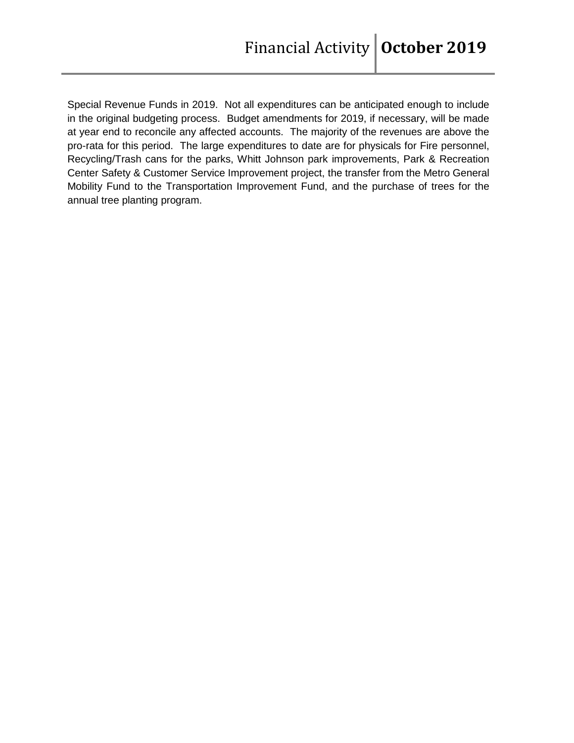Special Revenue Funds in 2019. Not all expenditures can be anticipated enough to include in the original budgeting process. Budget amendments for 2019, if necessary, will be made at year end to reconcile any affected accounts. The majority of the revenues are above the pro-rata for this period. The large expenditures to date are for physicals for Fire personnel, Recycling/Trash cans for the parks, Whitt Johnson park improvements, Park & Recreation Center Safety & Customer Service Improvement project, the transfer from the Metro General Mobility Fund to the Transportation Improvement Fund, and the purchase of trees for the annual tree planting program.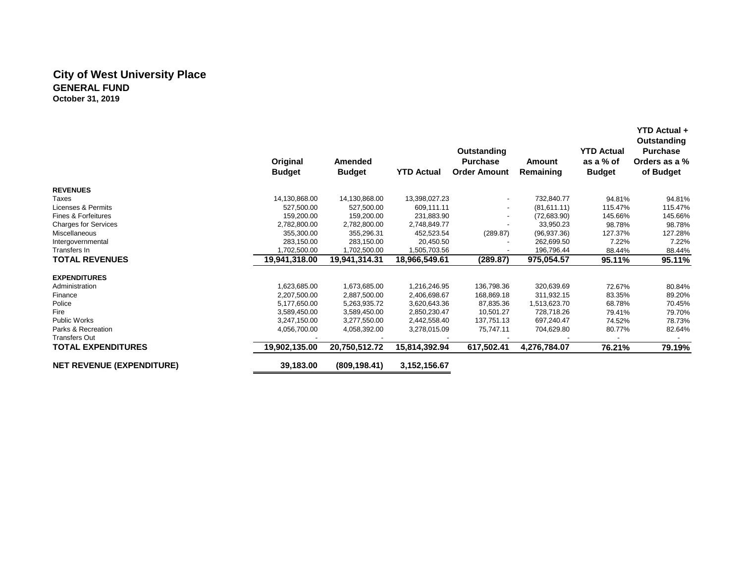## **City of West University Place GENERAL FUND October 31, 2019**

|                                  | Original<br><b>Budget</b> | Amended<br><b>Budget</b> | <b>YTD Actual</b> | Outstanding<br><b>Purchase</b><br><b>Order Amount</b> | Amount<br>Remaining | <b>YTD Actual</b><br>as a % of<br><b>Budget</b> | <b>YTD Actual +</b><br>Outstanding<br><b>Purchase</b><br>Orders as a %<br>of Budget |
|----------------------------------|---------------------------|--------------------------|-------------------|-------------------------------------------------------|---------------------|-------------------------------------------------|-------------------------------------------------------------------------------------|
| <b>REVENUES</b>                  |                           |                          |                   |                                                       |                     |                                                 |                                                                                     |
| Taxes                            | 14,130,868.00             | 14,130,868.00            | 13,398,027.23     | $\overline{\phantom{a}}$                              | 732,840.77          | 94.81%                                          | 94.81%                                                                              |
| Licenses & Permits               | 527,500.00                | 527,500.00               | 609,111.11        | $\overline{\phantom{a}}$                              | (81,611.11)         | 115.47%                                         | 115.47%                                                                             |
| Fines & Forfeitures              | 159,200.00                | 159,200.00               | 231,883.90        |                                                       | (72,683.90)         | 145.66%                                         | 145.66%                                                                             |
| <b>Charges for Services</b>      | 2,782,800.00              | 2,782,800.00             | 2,748,849.77      |                                                       | 33,950.23           | 98.78%                                          | 98.78%                                                                              |
| Miscellaneous                    | 355,300.00                | 355,296.31               | 452,523.54        | (289.87)                                              | (96, 937.36)        | 127.37%                                         | 127.28%                                                                             |
| Intergovernmental                | 283,150.00                | 283,150.00               | 20,450.50         |                                                       | 262,699.50          | 7.22%                                           | 7.22%                                                                               |
| Transfers In                     | 1,702,500.00              | 1,702,500.00             | 1,505,703.56      |                                                       | 196,796.44          | 88.44%                                          | 88.44%                                                                              |
| <b>TOTAL REVENUES</b>            | 19,941,318.00             | 19,941,314.31            | 18,966,549.61     | (289.87)                                              | 975,054.57          | 95.11%                                          | 95.11%                                                                              |
| <b>EXPENDITURES</b>              |                           |                          |                   |                                                       |                     |                                                 |                                                                                     |
| Administration                   | 1,623,685.00              | 1,673,685.00             | 1,216,246.95      | 136,798.36                                            | 320,639.69          | 72.67%                                          | 80.84%                                                                              |
| Finance                          | 2,207,500.00              | 2,887,500.00             | 2,406,698.67      | 168,869.18                                            | 311,932.15          | 83.35%                                          | 89.20%                                                                              |
| Police                           | 5,177,650.00              | 5,263,935.72             | 3,620,643.36      | 87,835.36                                             | 1,513,623.70        | 68.78%                                          | 70.45%                                                                              |
| Fire                             | 3,589,450.00              | 3,589,450.00             | 2,850,230.47      | 10,501.27                                             | 728,718.26          | 79.41%                                          | 79.70%                                                                              |
| <b>Public Works</b>              | 3,247,150.00              | 3,277,550.00             | 2,442,558.40      | 137,751.13                                            | 697,240.47          | 74.52%                                          | 78.73%                                                                              |
| Parks & Recreation               | 4,056,700.00              | 4,058,392.00             | 3,278,015.09      | 75,747.11                                             | 704,629.80          | 80.77%                                          | 82.64%                                                                              |
| <b>Transfers Out</b>             |                           |                          |                   |                                                       |                     |                                                 |                                                                                     |
| <b>TOTAL EXPENDITURES</b>        | 19,902,135.00             | 20,750,512.72            | 15,814,392.94     | 617,502.41                                            | 4,276,784.07        | 76.21%                                          | 79.19%                                                                              |
| <b>NET REVENUE (EXPENDITURE)</b> | 39,183.00                 | (809, 198.41)            | 3, 152, 156. 67   |                                                       |                     |                                                 |                                                                                     |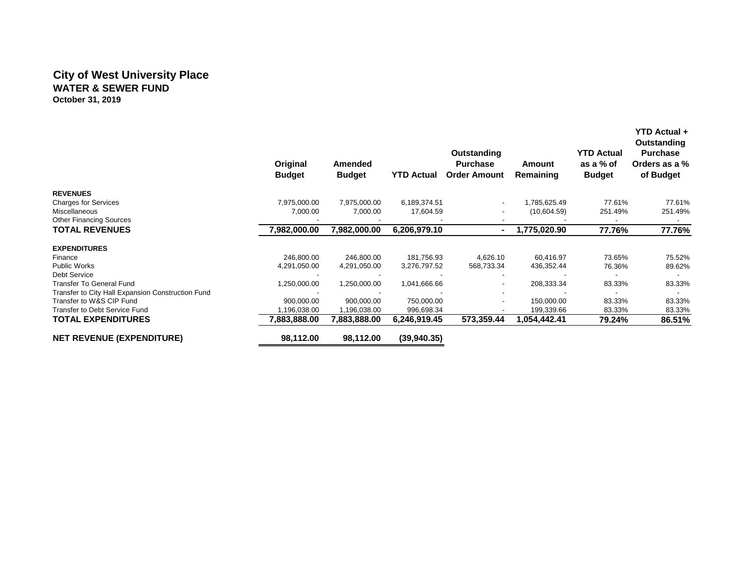## **City of West University Place WATER & SEWER FUND October 31, 2019**

|                                                   | Original<br><b>Budget</b> | <b>Amended</b><br><b>Budget</b> | <b>YTD Actual</b> | Outstanding<br><b>Purchase</b><br><b>Order Amount</b> | Amount<br>Remaining | <b>YTD Actual</b><br>as a % of<br><b>Budget</b> | Outstanding<br><b>Purchase</b><br>Orders as a %<br>of Budget |
|---------------------------------------------------|---------------------------|---------------------------------|-------------------|-------------------------------------------------------|---------------------|-------------------------------------------------|--------------------------------------------------------------|
| <b>REVENUES</b>                                   |                           |                                 |                   |                                                       |                     |                                                 |                                                              |
| <b>Charges for Services</b>                       | 7,975,000.00              | 7,975,000.00                    | 6,189,374.51      |                                                       | 1,785,625.49        | 77.61%                                          | 77.61%                                                       |
| Miscellaneous                                     | 7,000.00                  | 7,000.00                        | 17,604.59         |                                                       | (10,604.59)         | 251.49%                                         | 251.49%                                                      |
| <b>Other Financing Sources</b>                    |                           |                                 |                   |                                                       |                     |                                                 |                                                              |
| <b>TOTAL REVENUES</b>                             | 7,982,000.00              | 7,982,000.00                    | 6,206,979.10      |                                                       | 1,775,020.90        | 77.76%                                          | 77.76%                                                       |
| <b>EXPENDITURES</b>                               |                           |                                 |                   |                                                       |                     |                                                 |                                                              |
| Finance                                           | 246,800.00                | 246,800.00                      | 181,756.93        | 4,626.10                                              | 60,416.97           | 73.65%                                          | 75.52%                                                       |
| <b>Public Works</b>                               | 4,291,050.00              | 4,291,050.00                    | 3,276,797.52      | 568,733.34                                            | 436,352.44          | 76.36%                                          | 89.62%                                                       |
| Debt Service                                      |                           |                                 |                   |                                                       |                     |                                                 |                                                              |
| <b>Transfer To General Fund</b>                   | 1,250,000.00              | 1,250,000.00                    | 1,041,666.66      |                                                       | 208,333.34          | 83.33%                                          | 83.33%                                                       |
| Transfer to City Hall Expansion Construction Fund |                           |                                 |                   |                                                       |                     |                                                 |                                                              |
| Transfer to W&S CIP Fund                          | 900,000.00                | 900,000.00                      | 750,000.00        |                                                       | 150,000.00          | 83.33%                                          | 83.33%                                                       |
| Transfer to Debt Service Fund                     | 1,196,038.00              | 1,196,038.00                    | 996,698.34        |                                                       | 199,339.66          | 83.33%                                          | 83.33%                                                       |
| <b>TOTAL EXPENDITURES</b>                         | 7,883,888.00              | 7,883,888.00                    | 6,246,919.45      | 573,359.44                                            | 1,054,442.41        | 79.24%                                          | 86.51%                                                       |
| <b>NET REVENUE (EXPENDITURE)</b>                  | 98,112.00                 | 98,112.00                       | (39,940.35)       |                                                       |                     |                                                 |                                                              |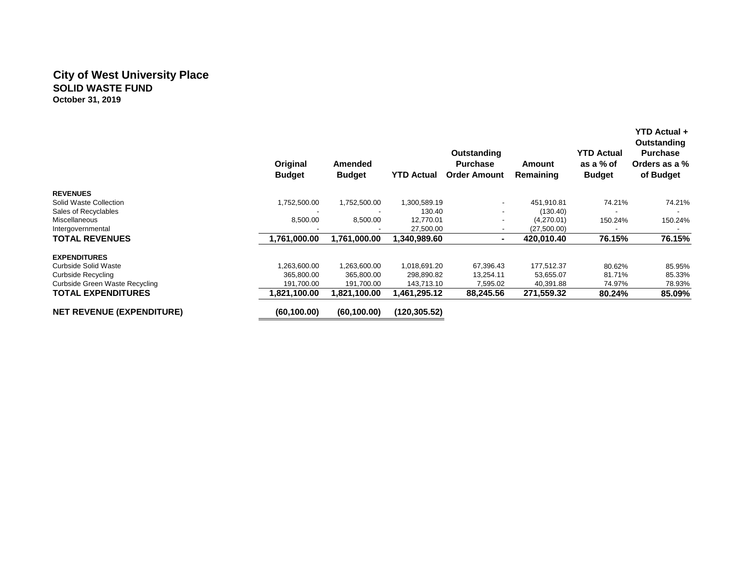## **City of West University Place SOLID WASTE FUND October 31, 2019**

|                                  | Original<br><b>Budget</b> | Amended<br><b>Budget</b> | <b>YTD Actual</b> | Outstanding<br><b>Purchase</b><br><b>Order Amount</b> | Amount<br>Remaining | <b>YTD Actual</b><br>as a % of<br><b>Budget</b> | YTD Actual +<br>Outstanding<br><b>Purchase</b><br>Orders as a %<br>of Budget |
|----------------------------------|---------------------------|--------------------------|-------------------|-------------------------------------------------------|---------------------|-------------------------------------------------|------------------------------------------------------------------------------|
| <b>REVENUES</b>                  |                           |                          |                   |                                                       |                     |                                                 |                                                                              |
| Solid Waste Collection           | 1,752,500.00              | 1,752,500.00             | 1,300,589.19      | $\overline{\phantom{a}}$                              | 451,910.81          | 74.21%                                          | 74.21%                                                                       |
| Sales of Recyclables             |                           |                          | 130.40            | -                                                     | (130.40)            |                                                 |                                                                              |
| <b>Miscellaneous</b>             | 8,500.00                  | 8,500.00                 | 12,770.01         |                                                       | (4,270.01)          | 150.24%                                         | 150.24%                                                                      |
| Intergovernmental                |                           |                          | 27,500.00         |                                                       | (27,500.00)         |                                                 |                                                                              |
| <b>TOTAL REVENUES</b>            | 1,761,000.00              | 1,761,000.00             | 1,340,989.60      |                                                       | 420,010.40          | 76.15%                                          | 76.15%                                                                       |
| <b>EXPENDITURES</b>              |                           |                          |                   |                                                       |                     |                                                 |                                                                              |
| Curbside Solid Waste             | 1,263,600.00              | 1,263,600.00             | 1,018,691.20      | 67,396.43                                             | 177,512.37          | 80.62%                                          | 85.95%                                                                       |
| Curbside Recycling               | 365,800.00                | 365,800.00               | 298,890.82        | 13,254.11                                             | 53,655.07           | 81.71%                                          | 85.33%                                                                       |
| Curbside Green Waste Recycling   | 191,700.00                | 191,700.00               | 143,713.10        | 7,595.02                                              | 40,391.88           | 74.97%                                          | 78.93%                                                                       |
| <b>TOTAL EXPENDITURES</b>        | 1,821,100.00              | 1,821,100.00             | 1,461,295.12      | 88,245.56                                             | 271,559.32          | 80.24%                                          | 85.09%                                                                       |
| <b>NET REVENUE (EXPENDITURE)</b> | (60, 100.00)              | (60, 100.00)             | (120, 305.52)     |                                                       |                     |                                                 |                                                                              |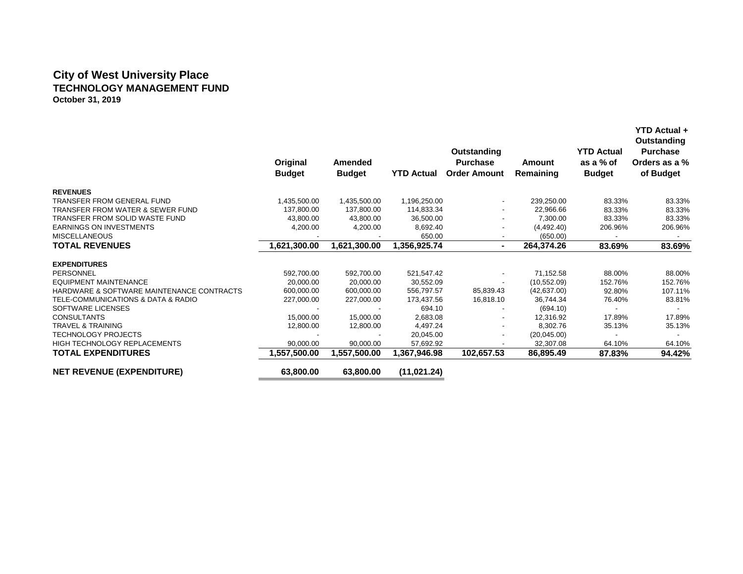# **City of West University Place TECHNOLOGY MANAGEMENT FUND October 31, 2019**

|                                             | Original<br><b>Budget</b> | Amended<br><b>Budget</b> | <b>YTD Actual</b> | Outstanding<br><b>Purchase</b><br><b>Order Amount</b> | Amount<br>Remaining | <b>YTD Actual</b><br>as a % of<br><b>Budget</b> | ד ווטראר שוו<br>Outstanding<br><b>Purchase</b><br>Orders as a %<br>of Budget |
|---------------------------------------------|---------------------------|--------------------------|-------------------|-------------------------------------------------------|---------------------|-------------------------------------------------|------------------------------------------------------------------------------|
| <b>REVENUES</b>                             |                           |                          |                   |                                                       |                     |                                                 |                                                                              |
| <b>TRANSFER FROM GENERAL FUND</b>           | 1,435,500.00              | 1,435,500.00             | 1,196,250.00      |                                                       | 239,250.00          | 83.33%                                          | 83.33%                                                                       |
| <b>TRANSFER FROM WATER &amp; SEWER FUND</b> | 137,800.00                | 137,800.00               | 114,833.34        |                                                       | 22,966.66           | 83.33%                                          | 83.33%                                                                       |
| TRANSFER FROM SOLID WASTE FUND              | 43,800.00                 | 43,800.00                | 36,500.00         |                                                       | 7,300.00            | 83.33%                                          | 83.33%                                                                       |
| <b>EARNINGS ON INVESTMENTS</b>              | 4,200.00                  | 4,200.00                 | 8,692.40          |                                                       | (4,492.40)          | 206.96%                                         | 206.96%                                                                      |
| <b>MISCELLANEOUS</b>                        |                           |                          | 650.00            |                                                       | (650.00)            | $\overline{\phantom{a}}$                        |                                                                              |
| <b>TOTAL REVENUES</b>                       | 1,621,300.00              | 1,621,300.00             | 1,356,925.74      | ٠.                                                    | 264,374.26          | 83.69%                                          | 83.69%                                                                       |
| <b>EXPENDITURES</b>                         |                           |                          |                   |                                                       |                     |                                                 |                                                                              |
| PERSONNEL                                   | 592,700.00                | 592,700.00               | 521,547.42        |                                                       | 71,152.58           | 88.00%                                          | 88.00%                                                                       |
| <b>EQUIPMENT MAINTENANCE</b>                | 20,000.00                 | 20.000.00                | 30,552.09         |                                                       | (10, 552.09)        | 152.76%                                         | 152.76%                                                                      |
| HARDWARE & SOFTWARE MAINTENANCE CONTRACTS   | 600,000.00                | 600,000.00               | 556,797.57        | 85,839.43                                             | (42, 637.00)        | 92.80%                                          | 107.11%                                                                      |
| TELE-COMMUNICATIONS & DATA & RADIO          | 227,000.00                | 227,000.00               | 173,437.56        | 16,818.10                                             | 36,744.34           | 76.40%                                          | 83.81%                                                                       |
| SOFTWARE LICENSES                           |                           |                          | 694.10            |                                                       | (694.10)            |                                                 |                                                                              |
| <b>CONSULTANTS</b>                          | 15,000.00                 | 15,000.00                | 2,683.08          |                                                       | 12,316.92           | 17.89%                                          | 17.89%                                                                       |
| <b>TRAVEL &amp; TRAINING</b>                | 12,800.00                 | 12,800.00                | 4,497.24          |                                                       | 8,302.76            | 35.13%                                          | 35.13%                                                                       |
| <b>TECHNOLOGY PROJECTS</b>                  |                           |                          | 20,045.00         |                                                       | (20,045.00)         |                                                 |                                                                              |
| <b>HIGH TECHNOLOGY REPLACEMENTS</b>         | 90,000.00                 | 90,000.00                | 57,692.92         |                                                       | 32,307.08           | 64.10%                                          | 64.10%                                                                       |
| <b>TOTAL EXPENDITURES</b>                   | 1,557,500.00              | 1,557,500.00             | 367,946.98,       | 102,657.53                                            | 86,895.49           | 87.83%                                          | 94.42%                                                                       |
| <b>NET REVENUE (EXPENDITURE)</b>            | 63,800.00                 | 63,800.00                | (11, 021.24)      |                                                       |                     |                                                 |                                                                              |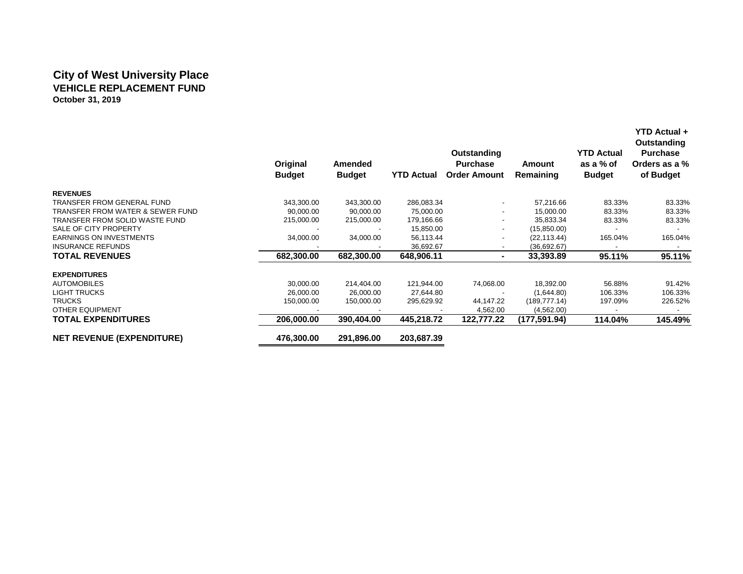# **City of West University Place VEHICLE REPLACEMENT FUND October 31, 2019**

|                                             | Original<br><b>Budget</b> | Amended<br><b>Budget</b> | <b>YTD Actual</b> | Outstanding<br><b>Purchase</b><br><b>Order Amount</b> | <b>Amount</b><br>Remaining | <b>YTD Actual</b><br>as a % of<br><b>Budget</b> | <b>YTD Actual +</b><br>Outstanding<br><b>Purchase</b><br>Orders as a %<br>of Budget |
|---------------------------------------------|---------------------------|--------------------------|-------------------|-------------------------------------------------------|----------------------------|-------------------------------------------------|-------------------------------------------------------------------------------------|
| <b>REVENUES</b>                             |                           |                          |                   |                                                       |                            |                                                 |                                                                                     |
| <b>TRANSFER FROM GENERAL FUND</b>           | 343,300.00                | 343,300.00               | 286,083.34        |                                                       | 57,216.66                  | 83.33%                                          | 83.33%                                                                              |
| <b>TRANSFER FROM WATER &amp; SEWER FUND</b> | 90,000.00                 | 90,000.00                | 75,000.00         |                                                       | 15,000.00                  | 83.33%                                          | 83.33%                                                                              |
| TRANSFER FROM SOLID WASTE FUND              | 215,000.00                | 215,000.00               | 179,166.66        |                                                       | 35,833.34                  | 83.33%                                          | 83.33%                                                                              |
| SALE OF CITY PROPERTY                       |                           |                          | 15,850.00         | $\overline{\phantom{a}}$                              | (15,850.00)                |                                                 |                                                                                     |
| <b>EARNINGS ON INVESTMENTS</b>              | 34,000.00                 | 34,000.00                | 56,113.44         | ٠                                                     | (22, 113.44)               | 165.04%                                         | 165.04%                                                                             |
| <b>INSURANCE REFUNDS</b>                    |                           |                          | 36,692.67         | $\overline{\phantom{a}}$                              | (36,692.67)                |                                                 |                                                                                     |
| <b>TOTAL REVENUES</b>                       | 682,300.00                | 682,300.00               | 648,906.11        | ٠                                                     | 33,393.89                  | 95.11%                                          | 95.11%                                                                              |
| <b>EXPENDITURES</b>                         |                           |                          |                   |                                                       |                            |                                                 |                                                                                     |
| <b>AUTOMOBILES</b>                          | 30,000.00                 | 214,404.00               | 121,944.00        | 74,068.00                                             | 18,392.00                  | 56.88%                                          | 91.42%                                                                              |
| <b>LIGHT TRUCKS</b>                         | 26,000.00                 | 26,000.00                | 27,644.80         |                                                       | (1,644.80)                 | 106.33%                                         | 106.33%                                                                             |
| <b>TRUCKS</b>                               | 150,000.00                | 150,000.00               | 295,629.92        | 44,147.22                                             | (189, 777.14)              | 197.09%                                         | 226.52%                                                                             |
| <b>OTHER EQUIPMENT</b>                      |                           |                          |                   | 4,562.00                                              | (4,562.00)                 |                                                 |                                                                                     |
| <b>TOTAL EXPENDITURES</b>                   | 206,000.00                | 390,404.00               | 445,218.72        | 122,777.22                                            | (177,591.94)               | 114.04%                                         | 145.49%                                                                             |
| <b>NET REVENUE (EXPENDITURE)</b>            | 476,300.00                | 291,896.00               | 203,687.39        |                                                       |                            |                                                 |                                                                                     |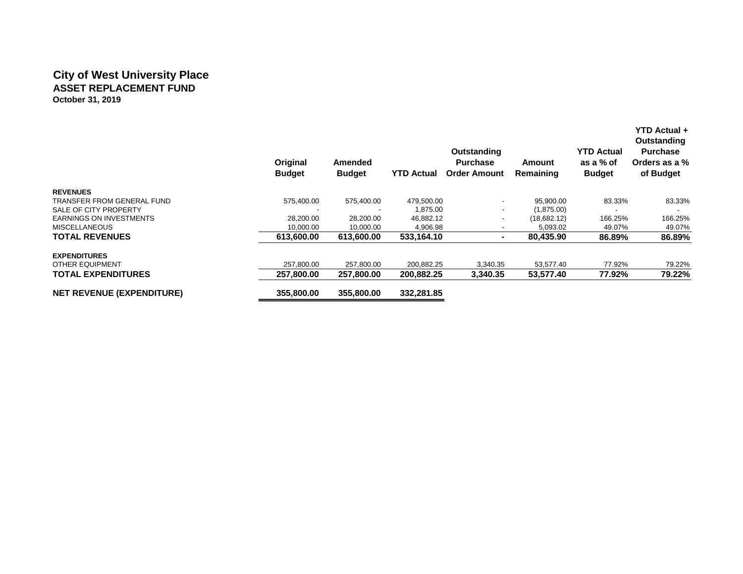# **City of West University Place ASSET REPLACEMENT FUND October 31, 2019**

|                                  | Original<br><b>Budget</b> | <b>Amended</b><br><b>Budget</b> | <b>YTD Actual</b> | Outstanding<br><b>Purchase</b><br><b>Order Amount</b> | Amount<br>Remaining | <b>YTD Actual</b><br>as a % of<br><b>Budget</b> | YTD Actual +<br>Outstanding<br><b>Purchase</b><br>Orders as a %<br>of Budget |
|----------------------------------|---------------------------|---------------------------------|-------------------|-------------------------------------------------------|---------------------|-------------------------------------------------|------------------------------------------------------------------------------|
| <b>REVENUES</b>                  |                           |                                 |                   |                                                       |                     |                                                 |                                                                              |
| TRANSFER FROM GENERAL FUND       | 575,400.00                | 575,400.00                      | 479,500.00        |                                                       | 95,900.00           | 83.33%                                          | 83.33%                                                                       |
| SALE OF CITY PROPERTY            |                           |                                 | 1,875.00          |                                                       | (1,875.00)          |                                                 |                                                                              |
| <b>EARNINGS ON INVESTMENTS</b>   | 28,200.00                 | 28,200.00                       | 46,882.12         |                                                       | (18,682.12)         | 166.25%                                         | 166.25%                                                                      |
| <b>MISCELLANEOUS</b>             | 10,000.00                 | 10,000.00                       | 4,906.98          |                                                       | 5,093.02            | 49.07%                                          | 49.07%                                                                       |
| <b>TOTAL REVENUES</b>            | 613,600.00                | 613,600.00                      | 533,164.10        |                                                       | 80,435.90           | 86.89%                                          | 86.89%                                                                       |
| <b>EXPENDITURES</b>              |                           |                                 |                   |                                                       |                     |                                                 |                                                                              |
| OTHER EQUIPMENT                  | 257.800.00                | 257,800.00                      | 200,882.25        | 3,340.35                                              | 53,577.40           | 77.92%                                          | 79.22%                                                                       |
| <b>TOTAL EXPENDITURES</b>        | 257,800.00                | 257,800.00                      | 200,882.25        | 3,340.35                                              | 53,577.40           | 77.92%                                          | 79.22%                                                                       |
| <b>NET REVENUE (EXPENDITURE)</b> | 355,800,00                | 355,800,00                      | 332,281.85        |                                                       |                     |                                                 |                                                                              |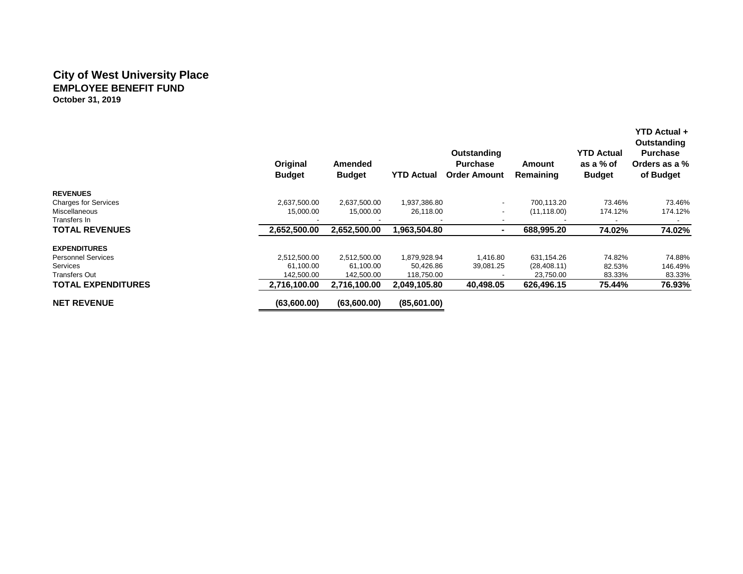## **City of West University Place EMPLOYEE BENEFIT FUND October 31, 2019**

|                             | Original<br><b>Budget</b> | Amended<br><b>Budget</b> | <b>YTD Actual</b> | Outstanding<br><b>Purchase</b><br><b>Order Amount</b> | Amount<br>Remaining | <b>YTD Actual</b><br>as a % of<br><b>Budget</b> | YTD Actual +<br><b>Outstanding</b><br><b>Purchase</b><br>Orders as a %<br>of Budget |
|-----------------------------|---------------------------|--------------------------|-------------------|-------------------------------------------------------|---------------------|-------------------------------------------------|-------------------------------------------------------------------------------------|
| <b>REVENUES</b>             |                           |                          |                   |                                                       |                     |                                                 |                                                                                     |
| <b>Charges for Services</b> | 2,637,500.00              | 2,637,500.00             | 1,937,386.80      |                                                       | 700.113.20          | 73.46%                                          | 73.46%                                                                              |
| <b>Miscellaneous</b>        | 15,000.00                 | 15,000.00                | 26,118.00         |                                                       | (11, 118.00)        | 174.12%                                         | 174.12%                                                                             |
| Transfers In                |                           |                          |                   |                                                       |                     |                                                 |                                                                                     |
| <b>TOTAL REVENUES</b>       | 2,652,500.00              | 2,652,500.00             | 1,963,504.80      |                                                       | 688,995.20          | 74.02%                                          | 74.02%                                                                              |
| <b>EXPENDITURES</b>         |                           |                          |                   |                                                       |                     |                                                 |                                                                                     |
| <b>Personnel Services</b>   | 2,512,500.00              | 2,512,500.00             | 1,879,928.94      | 1,416.80                                              | 631,154.26          | 74.82%                                          | 74.88%                                                                              |
| <b>Services</b>             | 61,100.00                 | 61,100.00                | 50,426.86         | 39,081.25                                             | (28, 408.11)        | 82.53%                                          | 146.49%                                                                             |
| <b>Transfers Out</b>        | 142,500.00                | 142,500.00               | 118,750.00        |                                                       | 23,750.00           | 83.33%                                          | 83.33%                                                                              |
| <b>TOTAL EXPENDITURES</b>   | 2,716,100.00              | 2,716,100.00             | 2,049,105.80      | 40.498.05                                             | 626,496.15          | 75.44%                                          | 76.93%                                                                              |
| <b>NET REVENUE</b>          | (63,600.00)               | (63,600.00)              | (85,601.00)       |                                                       |                     |                                                 |                                                                                     |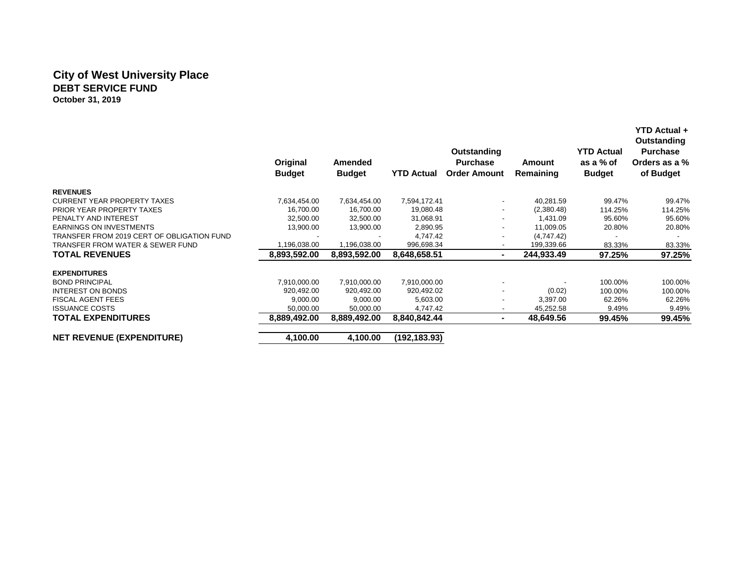## **City of West University Place DEBT SERVICE FUND October 31, 2019**

|                                            | Original<br><b>Budget</b> | Amended<br><b>Budget</b> | <b>YTD Actual</b> | Outstanding<br><b>Purchase</b><br><b>Order Amount</b> | Amount<br>Remaining | <b>YTD Actual</b><br>as a % of<br><b>Budget</b> | <b>YTD Actual +</b><br>Outstanding<br><b>Purchase</b><br>Orders as a %<br>of Budget |
|--------------------------------------------|---------------------------|--------------------------|-------------------|-------------------------------------------------------|---------------------|-------------------------------------------------|-------------------------------------------------------------------------------------|
| <b>REVENUES</b>                            |                           |                          |                   |                                                       |                     |                                                 |                                                                                     |
| <b>CURRENT YEAR PROPERTY TAXES</b>         | 7,634,454.00              | 7,634,454.00             | 7,594,172.41      | ۰                                                     | 40,281.59           | 99.47%                                          | 99.47%                                                                              |
| PRIOR YEAR PROPERTY TAXES                  | 16,700.00                 | 16,700.00                | 19,080.48         |                                                       | (2,380.48)          | 114.25%                                         | 114.25%                                                                             |
| PENALTY AND INTEREST                       | 32,500.00                 | 32,500.00                | 31,068.91         |                                                       | 1,431.09            | 95.60%                                          | 95.60%                                                                              |
| <b>EARNINGS ON INVESTMENTS</b>             | 13,900.00                 | 13,900.00                | 2,890.95          | ۰                                                     | 11,009.05           | 20.80%                                          | 20.80%                                                                              |
| TRANSFER FROM 2019 CERT OF OBLIGATION FUND |                           |                          | 4,747.42          |                                                       | (4,747.42)          |                                                 |                                                                                     |
| TRANSFER FROM WATER & SEWER FUND           | 1,196,038.00              | 1,196,038.00             | 996,698.34        | -                                                     | 199,339.66          | 83.33%                                          | 83.33%                                                                              |
| <b>TOTAL REVENUES</b>                      | 8,893,592.00              | 8.893.592.00             | 8,648,658.51      | $\blacksquare$                                        | 244,933.49          | 97.25%                                          | 97.25%                                                                              |
| <b>EXPENDITURES</b>                        |                           |                          |                   |                                                       |                     |                                                 |                                                                                     |
| <b>BOND PRINCIPAL</b>                      | 7,910,000.00              | 7,910,000.00             | 7,910,000.00      |                                                       |                     | 100.00%                                         | 100.00%                                                                             |
| <b>INTEREST ON BONDS</b>                   | 920,492.00                | 920,492.00               | 920,492.02        |                                                       | (0.02)              | 100.00%                                         | 100.00%                                                                             |
| <b>FISCAL AGENT FEES</b>                   | 9,000.00                  | 9,000.00                 | 5,603.00          |                                                       | 3,397.00            | 62.26%                                          | 62.26%                                                                              |
| <b>ISSUANCE COSTS</b>                      | 50,000.00                 | 50,000.00                | 4,747.42          |                                                       | 45,252.58           | 9.49%                                           | 9.49%                                                                               |
| <b>TOTAL EXPENDITURES</b>                  | 8,889,492.00              | 8,889,492.00             | 8,840,842.44      | $\blacksquare$                                        | 48,649.56           | 99.45%                                          | 99.45%                                                                              |
| <b>NET REVENUE (EXPENDITURE)</b>           | 4,100.00                  | 4,100.00                 | (192,183.93)      |                                                       |                     |                                                 |                                                                                     |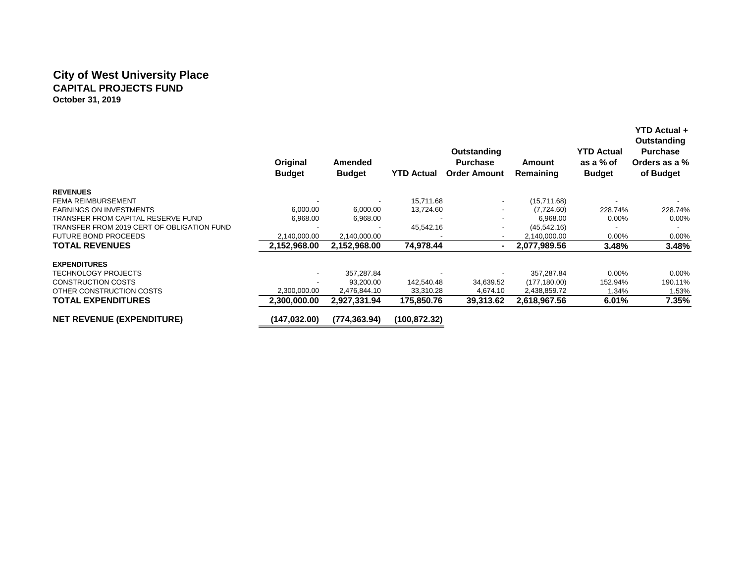## **City of West University Place CAPITAL PROJECTS FUND October 31, 2019**

|                                            | Original<br><b>Budget</b> | <b>Amended</b><br><b>Budget</b> | <b>YTD Actual</b> | <b>Outstanding</b><br><b>Purchase</b><br><b>Order Amount</b> | Amount<br>Remaining | <b>YTD Actual</b><br>as a % of<br><b>Budget</b> | YTD Actual +<br>Outstanding<br><b>Purchase</b><br>Orders as a %<br>of Budget |
|--------------------------------------------|---------------------------|---------------------------------|-------------------|--------------------------------------------------------------|---------------------|-------------------------------------------------|------------------------------------------------------------------------------|
| <b>REVENUES</b>                            |                           |                                 |                   |                                                              |                     |                                                 |                                                                              |
| <b>FEMA REIMBURSEMENT</b>                  |                           |                                 | 15,711.68         | $\overline{\phantom{a}}$                                     | (15,711.68)         |                                                 |                                                                              |
| <b>EARNINGS ON INVESTMENTS</b>             | 6,000.00                  | 6,000.00                        | 13,724.60         |                                                              | (7,724.60)          | 228.74%                                         | 228.74%                                                                      |
| TRANSFER FROM CAPITAL RESERVE FUND         | 6,968.00                  | 6,968.00                        |                   |                                                              | 6,968.00            | $0.00\%$                                        | 0.00%                                                                        |
| TRANSFER FROM 2019 CERT OF OBLIGATION FUND |                           |                                 | 45,542.16         |                                                              | (45, 542.16)        |                                                 |                                                                              |
| <b>FUTURE BOND PROCEEDS</b>                | 2,140,000.00              | 2,140,000.00                    |                   |                                                              | 2,140,000.00        | $0.00\%$                                        | 0.00%                                                                        |
| <b>TOTAL REVENUES</b>                      | 2,152,968.00              | 2,152,968.00                    | 74,978.44         | $\blacksquare$                                               | 2,077,989.56        | 3.48%                                           | 3.48%                                                                        |
| <b>EXPENDITURES</b>                        |                           |                                 |                   |                                                              |                     |                                                 |                                                                              |
| <b>TECHNOLOGY PROJECTS</b>                 |                           | 357,287.84                      |                   |                                                              | 357,287.84          | $0.00\%$                                        | 0.00%                                                                        |
| <b>CONSTRUCTION COSTS</b>                  |                           | 93,200.00                       | 142,540.48        | 34,639.52                                                    | (177, 180.00)       | 152.94%                                         | 190.11%                                                                      |
| OTHER CONSTRUCTION COSTS                   | 2,300,000.00              | 2,476,844.10                    | 33,310.28         | 4,674.10                                                     | 2,438,859.72        | 1.34%                                           | 1.53%                                                                        |
| <b>TOTAL EXPENDITURES</b>                  | 2,300,000.00              | 2,927,331.94                    | 175,850.76        | 39,313.62                                                    | 2,618,967.56        | 6.01%                                           | 7.35%                                                                        |
| <b>NET REVENUE (EXPENDITURE)</b>           | (147,032.00)              | (774.363.94)                    | (100,872.32)      |                                                              |                     |                                                 |                                                                              |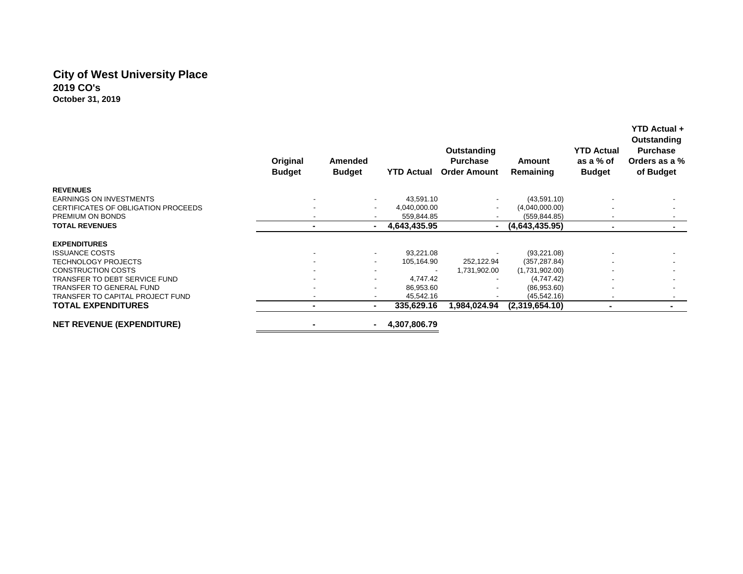## **City of West University Place 2019 CO's October 31, 2019**

|                                     | Original<br><b>Budget</b> | <b>Amended</b><br><b>Budget</b> | <b>YTD Actual</b> | Outstanding<br><b>Purchase</b><br><b>Order Amount</b> | Amount<br>Remaining | <b>YTD Actual</b><br>as a % of<br><b>Budget</b> | Outstanding<br><b>Purchase</b><br>Orders as a %<br>of Budget |
|-------------------------------------|---------------------------|---------------------------------|-------------------|-------------------------------------------------------|---------------------|-------------------------------------------------|--------------------------------------------------------------|
| <b>REVENUES</b>                     |                           |                                 |                   |                                                       |                     |                                                 |                                                              |
| <b>EARNINGS ON INVESTMENTS</b>      |                           |                                 | 43.591.10         | $\overline{\phantom{a}}$                              | (43,591.10)         |                                                 |                                                              |
| CERTIFICATES OF OBLIGATION PROCEEDS |                           |                                 | 4,040,000.00      |                                                       | (4,040,000.00)      |                                                 |                                                              |
| PREMIUM ON BONDS                    |                           |                                 | 559,844.85        | $\overline{\phantom{a}}$                              | (559, 844.85)       |                                                 | $\overline{\phantom{a}}$                                     |
| <b>TOTAL REVENUES</b>               |                           |                                 | 4,643,435.95      | $\blacksquare$                                        | (4,643,435.95)      |                                                 | ۰.                                                           |
| <b>EXPENDITURES</b>                 |                           |                                 |                   |                                                       |                     |                                                 |                                                              |
| <b>ISSUANCE COSTS</b>               |                           |                                 | 93,221.08         |                                                       | (93, 221.08)        |                                                 |                                                              |
| <b>TECHNOLOGY PROJECTS</b>          |                           | $\sim$                          | 105,164.90        | 252,122.94                                            | (357, 287.84)       |                                                 |                                                              |
| <b>CONSTRUCTION COSTS</b>           |                           |                                 |                   | 1,731,902.00                                          | (1,731,902.00)      |                                                 |                                                              |
| TRANSFER TO DEBT SERVICE FUND       |                           |                                 | 4,747.42          |                                                       | (4,747.42)          |                                                 |                                                              |
| TRANSFER TO GENERAL FUND            |                           | $\overline{\phantom{0}}$        | 86,953.60         | ٠                                                     | (86,953.60)         |                                                 | $\overline{\phantom{a}}$                                     |
| TRANSFER TO CAPITAL PROJECT FUND    |                           | $\sim$                          | 45,542.16         | $\overline{\phantom{a}}$                              | (45, 542.16)        |                                                 |                                                              |
| <b>TOTAL EXPENDITURES</b>           |                           | ۰.                              | 335,629.16        | 1,984,024.94                                          | (2,319,654.10)      |                                                 |                                                              |
| <b>NET REVENUE (EXPENDITURE)</b>    |                           |                                 | 4,307,806.79      |                                                       |                     |                                                 |                                                              |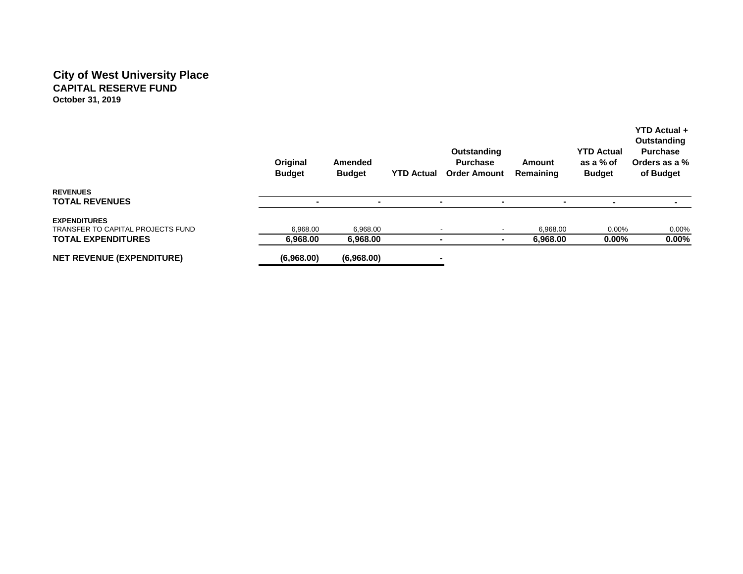# **City of West University Place CAPITAL RESERVE FUND October 31, 2019**

|                                                          | Original<br><b>Budget</b> | Amended<br><b>Budget</b> | <b>YTD Actual</b>        | <b>Outstanding</b><br><b>Purchase</b><br><b>Order Amount</b> | Amount<br>Remaining | <b>YTD Actual</b><br>as a % of<br><b>Budget</b> | Outstanding<br><b>Purchase</b><br>Orders as a %<br>of Budget |
|----------------------------------------------------------|---------------------------|--------------------------|--------------------------|--------------------------------------------------------------|---------------------|-------------------------------------------------|--------------------------------------------------------------|
| <b>REVENUES</b><br><b>TOTAL REVENUES</b>                 | -                         |                          |                          | $\overline{\phantom{a}}$<br>-                                |                     | -                                               |                                                              |
| <b>EXPENDITURES</b><br>TRANSFER TO CAPITAL PROJECTS FUND | 6.968.00                  | 6.968.00                 |                          |                                                              | 6.968.00            | $0.00\%$                                        | $0.00\%$                                                     |
| <b>TOTAL EXPENDITURES</b>                                | 6,968.00                  | 6,968.00                 | $\overline{\phantom{a}}$ | ۰                                                            | 6,968.00            | $0.00\%$                                        | 0.00%                                                        |
| <b>NET REVENUE (EXPENDITURE)</b>                         | (6,968.00)                | (6,968.00)               | -                        |                                                              |                     |                                                 |                                                              |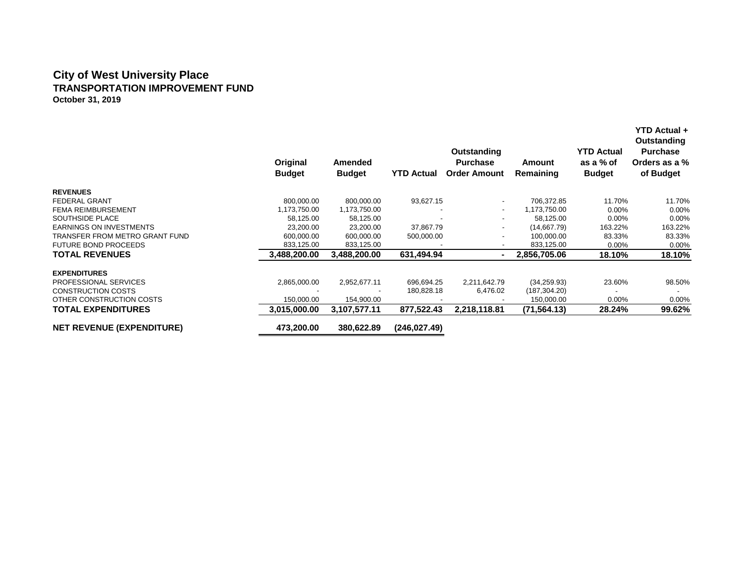# **City of West University Place TRANSPORTATION IMPROVEMENT FUND October 31, 2019**

|                                  | Original<br><b>Budget</b> | <b>Amended</b><br><b>Budget</b> | <b>YTD Actual</b> | <b>Outstanding</b><br><b>Purchase</b><br><b>Order Amount</b> | Amount<br>Remaining | <b>YTD Actual</b><br>as a % of<br><b>Budget</b> | <b>YTD Actual +</b><br>Outstanding<br><b>Purchase</b><br>Orders as a %<br>of Budget |
|----------------------------------|---------------------------|---------------------------------|-------------------|--------------------------------------------------------------|---------------------|-------------------------------------------------|-------------------------------------------------------------------------------------|
| <b>REVENUES</b>                  |                           |                                 |                   |                                                              |                     |                                                 |                                                                                     |
| <b>FEDERAL GRANT</b>             | 800,000.00                | 800,000.00                      | 93,627.15         | $\overline{\phantom{0}}$                                     | 706,372.85          | 11.70%                                          | 11.70%                                                                              |
| <b>FEMA REIMBURSEMENT</b>        | 1,173,750.00              | 1,173,750.00                    |                   | ٠                                                            | 1,173,750.00        | 0.00%                                           | 0.00%                                                                               |
| SOUTHSIDE PLACE                  | 58,125.00                 | 58,125.00                       |                   | $\overline{\phantom{0}}$                                     | 58.125.00           | 0.00%                                           | 0.00%                                                                               |
| <b>EARNINGS ON INVESTMENTS</b>   | 23,200.00                 | 23,200.00                       | 37,867.79         |                                                              | (14,667.79)         | 163.22%                                         | 163.22%                                                                             |
| TRANSFER FROM METRO GRANT FUND   | 600,000.00                | 600,000.00                      | 500,000.00        |                                                              | 100,000.00          | 83.33%                                          | 83.33%                                                                              |
| <b>FUTURE BOND PROCEEDS</b>      | 833,125.00                | 833,125.00                      |                   |                                                              | 833,125.00          | 0.00%                                           | 0.00%                                                                               |
| <b>TOTAL REVENUES</b>            | 3,488,200.00              | 3,488,200.00                    | 631,494.94        |                                                              | 2,856,705.06        | 18.10%                                          | 18.10%                                                                              |
| <b>EXPENDITURES</b>              |                           |                                 |                   |                                                              |                     |                                                 |                                                                                     |
| PROFESSIONAL SERVICES            | 2,865,000.00              | 2,952,677.11                    | 696,694.25        | 2,211,642.79                                                 | (34, 259.93)        | 23.60%                                          | 98.50%                                                                              |
| <b>CONSTRUCTION COSTS</b>        |                           |                                 | 180,828.18        | 6,476.02                                                     | (187, 304.20)       |                                                 |                                                                                     |
| OTHER CONSTRUCTION COSTS         | 150,000.00                | 154,900.00                      |                   |                                                              | 150,000.00          | $0.00\%$                                        | 0.00%                                                                               |
| <b>TOTAL EXPENDITURES</b>        | 3,015,000.00              | 3,107,577.11                    | 877,522.43        | 2,218,118.81                                                 | (71, 564.13)        | 28.24%                                          | 99.62%                                                                              |
| <b>NET REVENUE (EXPENDITURE)</b> | 473,200.00                | 380.622.89                      | (246, 027.49)     |                                                              |                     |                                                 |                                                                                     |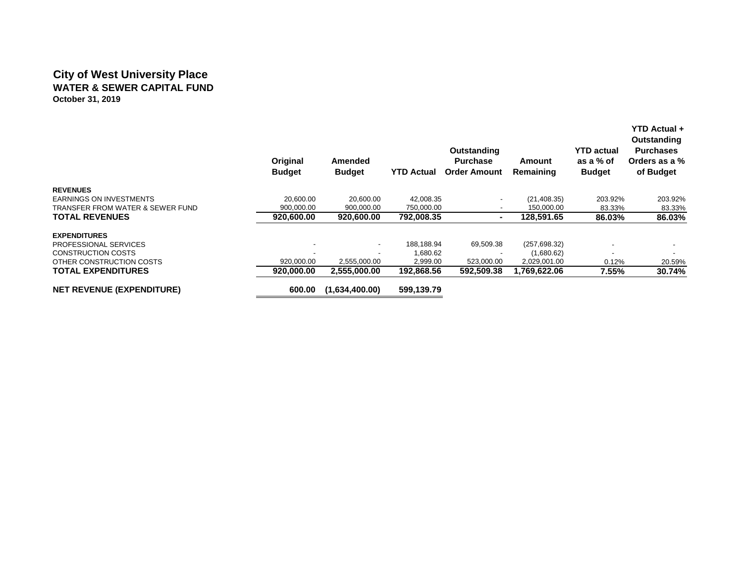## **City of West University Place WATER & SEWER CAPITAL FUND October 31, 2019**

|                                  | Original<br><b>Budget</b> | Amended<br><b>Budget</b> | <b>YTD Actual</b> | Outstanding<br><b>Purchase</b><br><b>Order Amount</b> | Amount<br>Remaining | <b>YTD actual</b><br>as a % of<br><b>Budget</b> | YTD Actual +<br>Outstanding<br><b>Purchases</b><br>Orders as a %<br>of Budget |
|----------------------------------|---------------------------|--------------------------|-------------------|-------------------------------------------------------|---------------------|-------------------------------------------------|-------------------------------------------------------------------------------|
| <b>REVENUES</b>                  |                           |                          |                   |                                                       |                     |                                                 |                                                                               |
| <b>EARNINGS ON INVESTMENTS</b>   | 20.600.00                 | 20,600.00                | 42,008.35         | $\overline{\phantom{a}}$                              | (21, 408.35)        | 203.92%                                         | 203.92%                                                                       |
| TRANSFER FROM WATER & SEWER FUND | 900,000.00                | 900,000.00               | 750,000.00        |                                                       | 150,000.00          | 83.33%                                          | 83.33%                                                                        |
| <b>TOTAL REVENUES</b>            | 920,600,00                | 920,600,00               | 792.008.35        |                                                       | 128,591.65          | 86.03%                                          | 86.03%                                                                        |
| <b>EXPENDITURES</b>              |                           |                          |                   |                                                       |                     |                                                 |                                                                               |
| PROFESSIONAL SERVICES            |                           | $\overline{\phantom{a}}$ | 188,188.94        | 69,509.38                                             | (257, 698.32)       |                                                 |                                                                               |
| <b>CONSTRUCTION COSTS</b>        |                           | $\overline{\phantom{a}}$ | 1,680.62          |                                                       | (1,680.62)          |                                                 |                                                                               |
| OTHER CONSTRUCTION COSTS         | 920,000.00                | 2,555,000.00             | 2,999.00          | 523,000.00                                            | 2,029,001.00        | 0.12%                                           | 20.59%                                                                        |
| <b>TOTAL EXPENDITURES</b>        | 920,000.00                | 2,555,000.00             | 192,868.56        | 592,509.38                                            | 1,769,622.06        | 7.55%                                           | 30.74%                                                                        |
| <b>NET REVENUE (EXPENDITURE)</b> | 600.00                    | (1,634,400.00)           | 599.139.79        |                                                       |                     |                                                 |                                                                               |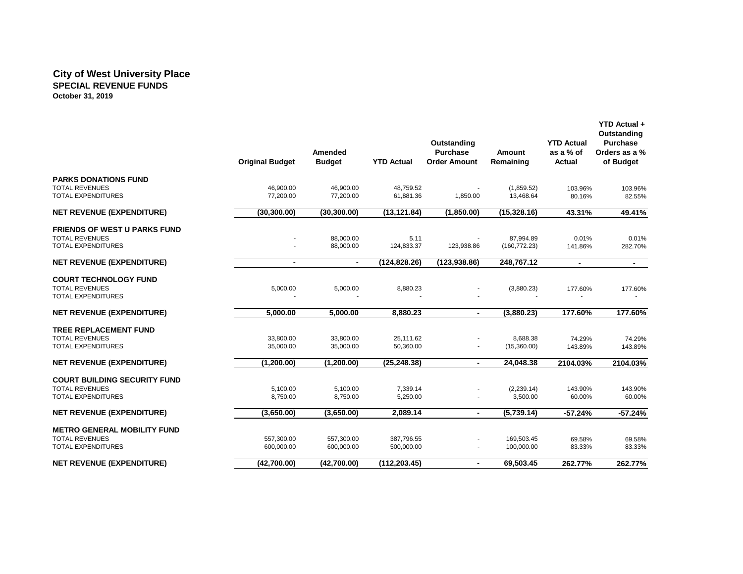#### **City of West University Place SPECIAL REVENUE FUNDS October 31, 2019**

|                                                    | <b>Original Budget</b> | Amended<br><b>Budget</b> | <b>YTD Actual</b>      | Outstanding<br><b>Purchase</b><br><b>Order Amount</b> | <b>Amount</b><br>Remaining | <b>YTD Actual</b><br>as a % of<br>Actual | YTD Actual +<br>Outstanding<br><b>Purchase</b><br>Orders as a %<br>of Budget |
|----------------------------------------------------|------------------------|--------------------------|------------------------|-------------------------------------------------------|----------------------------|------------------------------------------|------------------------------------------------------------------------------|
| <b>PARKS DONATIONS FUND</b>                        |                        |                          |                        |                                                       |                            |                                          |                                                                              |
| <b>TOTAL REVENUES</b><br><b>TOTAL EXPENDITURES</b> | 46,900.00<br>77,200.00 | 46,900.00<br>77,200.00   | 48,759.52<br>61,881.36 |                                                       | (1,859.52)<br>13,468.64    | 103.96%                                  | 103.96%                                                                      |
|                                                    |                        |                          |                        | 1,850.00                                              |                            | 80.16%                                   | 82.55%                                                                       |
| <b>NET REVENUE (EXPENDITURE)</b>                   | (30, 300.00)           | (30, 300.00)             | (13, 121.84)           | (1,850.00)                                            | (15, 328.16)               | 43.31%                                   | 49.41%                                                                       |
| <b>FRIENDS OF WEST U PARKS FUND</b>                |                        |                          |                        |                                                       |                            |                                          |                                                                              |
| <b>TOTAL REVENUES</b>                              |                        | 88.000.00                | 5.11                   |                                                       | 87.994.89                  | 0.01%                                    | 0.01%                                                                        |
| <b>TOTAL EXPENDITURES</b>                          |                        | 88,000.00                | 124,833.37             | 123,938.86                                            | (160, 772.23)              | 141.86%                                  | 282.70%                                                                      |
| <b>NET REVENUE (EXPENDITURE)</b>                   | $\blacksquare$         | $\blacksquare$           | (124, 828.26)          | (123, 938.86)                                         | 248,767.12                 | $\blacksquare$                           | $\blacksquare$                                                               |
| <b>COURT TECHNOLOGY FUND</b>                       |                        |                          |                        |                                                       |                            |                                          |                                                                              |
| <b>TOTAL REVENUES</b>                              | 5,000.00               | 5,000.00                 | 8,880.23               |                                                       | (3,880.23)                 | 177.60%                                  | 177.60%                                                                      |
| <b>TOTAL EXPENDITURES</b>                          |                        |                          |                        |                                                       |                            |                                          |                                                                              |
| <b>NET REVENUE (EXPENDITURE)</b>                   | 5,000.00               | 5,000.00                 | 8,880.23               | $\blacksquare$                                        | (3,880.23)                 | 177.60%                                  | 177.60%                                                                      |
| <b>TREE REPLACEMENT FUND</b>                       |                        |                          |                        |                                                       |                            |                                          |                                                                              |
| <b>TOTAL REVENUES</b>                              | 33,800.00              | 33,800.00                | 25,111.62              |                                                       | 8,688.38                   | 74.29%                                   | 74.29%                                                                       |
| <b>TOTAL EXPENDITURES</b>                          | 35,000.00              | 35,000.00                | 50,360.00              | $\sim$                                                | (15,360.00)                | 143.89%                                  | 143.89%                                                                      |
| <b>NET REVENUE (EXPENDITURE)</b>                   | (1, 200.00)            | (1, 200.00)              | (25, 248.38)           | $\blacksquare$                                        | 24,048.38                  | 2104.03%                                 | 2104.03%                                                                     |
| <b>COURT BUILDING SECURITY FUND</b>                |                        |                          |                        |                                                       |                            |                                          |                                                                              |
| <b>TOTAL REVENUES</b>                              | 5,100.00               | 5,100.00                 | 7,339.14               |                                                       | (2, 239.14)                | 143.90%                                  | 143.90%                                                                      |
| <b>TOTAL EXPENDITURES</b>                          | 8,750.00               | 8,750.00                 | 5,250.00               |                                                       | 3,500.00                   | 60.00%                                   | 60.00%                                                                       |
| <b>NET REVENUE (EXPENDITURE)</b>                   | (3,650.00)             | (3,650.00)               | 2,089.14               | $\blacksquare$                                        | (5,739.14)                 | $-57.24%$                                | $-57.24%$                                                                    |
| <b>METRO GENERAL MOBILITY FUND</b>                 |                        |                          |                        |                                                       |                            |                                          |                                                                              |
| <b>TOTAL REVENUES</b>                              | 557,300.00             | 557,300.00               | 387,796.55             |                                                       | 169,503.45                 | 69.58%                                   | 69.58%                                                                       |
| <b>TOTAL EXPENDITURES</b>                          | 600,000.00             | 600,000.00               | 500,000.00             |                                                       | 100,000.00                 | 83.33%                                   | 83.33%                                                                       |
| <b>NET REVENUE (EXPENDITURE)</b>                   | (42,700.00)            | (42,700.00)              | (112, 203.45)          | $\blacksquare$                                        | 69,503.45                  | 262.77%                                  | 262.77%                                                                      |
|                                                    |                        |                          |                        |                                                       |                            |                                          |                                                                              |